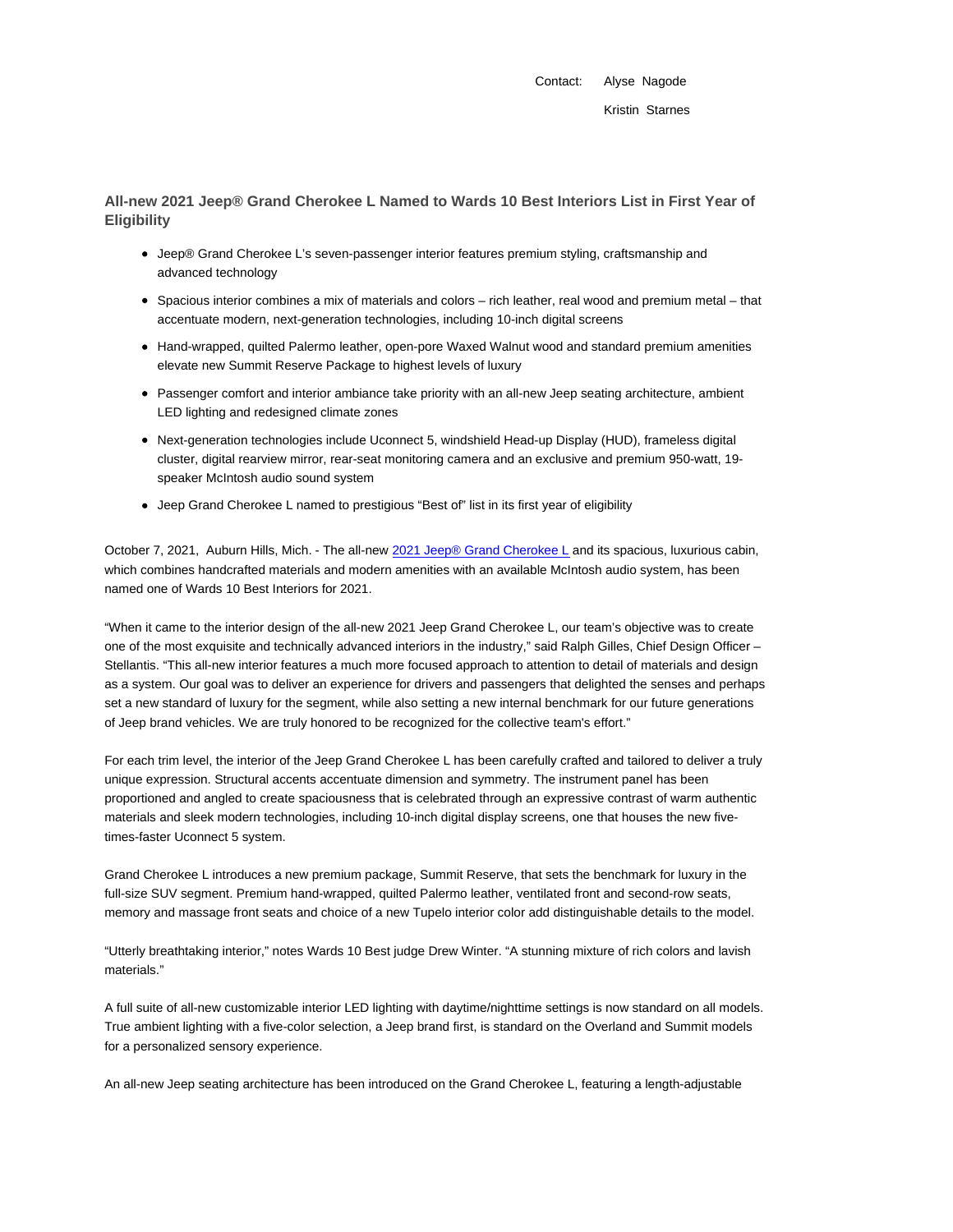Contact: Alyse Nagode Kristin Starnes

**All-new 2021 Jeep® Grand Cherokee L Named to Wards 10 Best Interiors List in First Year of Eligibility**

- Jeep® Grand Cherokee L's seven-passenger interior features premium styling, craftsmanship and advanced technology
- Spacious interior combines a mix of materials and colors rich leather, real wood and premium metal that accentuate modern, next-generation technologies, including 10-inch digital screens
- Hand-wrapped, quilted Palermo leather, open-pore Waxed Walnut wood and standard premium amenities elevate new Summit Reserve Package to highest levels of luxury
- Passenger comfort and interior ambiance take priority with an all-new Jeep seating architecture, ambient LED lighting and redesigned climate zones
- Next-generation technologies include Uconnect 5, windshield Head-up Display (HUD), frameless digital cluster, digital rearview mirror, rear-seat monitoring camera and an exclusive and premium 950-watt, 19 speaker McIntosh audio sound system
- Jeep Grand Cherokee L named to prestigious "Best of" list in its first year of eligibility

October 7, 2021, Auburn Hills, Mich. - The all-new 2021 Jeep® Grand Cherokee L and its spacious, luxurious cabin, which combines handcrafted materials and modern amenities with an available McIntosh audio system, has been named one of Wards 10 Best Interiors for 2021.

"When it came to the interior design of the all-new 2021 Jeep Grand Cherokee L, our team's objective was to create one of the most exquisite and technically advanced interiors in the industry," said Ralph Gilles, Chief Design Officer – Stellantis. "This all-new interior features a much more focused approach to attention to detail of materials and design as a system. Our goal was to deliver an experience for drivers and passengers that delighted the senses and perhaps set a new standard of luxury for the segment, while also setting a new internal benchmark for our future generations of Jeep brand vehicles. We are truly honored to be recognized for the collective team's effort."

For each trim level, the interior of the Jeep Grand Cherokee L has been carefully crafted and tailored to deliver a truly unique expression. Structural accents accentuate dimension and symmetry. The instrument panel has been proportioned and angled to create spaciousness that is celebrated through an expressive contrast of warm authentic materials and sleek modern technologies, including 10-inch digital display screens, one that houses the new fivetimes-faster Uconnect 5 system.

Grand Cherokee L introduces a new premium package, Summit Reserve, that sets the benchmark for luxury in the full-size SUV segment. Premium hand-wrapped, quilted Palermo leather, ventilated front and second-row seats, memory and massage front seats and choice of a new Tupelo interior color add distinguishable details to the model.

"Utterly breathtaking interior," notes Wards 10 Best judge Drew Winter. "A stunning mixture of rich colors and lavish materials."

A full suite of all-new customizable interior LED lighting with daytime/nighttime settings is now standard on all models. True ambient lighting with a five-color selection, a Jeep brand first, is standard on the Overland and Summit models for a personalized sensory experience.

An all-new Jeep seating architecture has been introduced on the Grand Cherokee L, featuring a length-adjustable